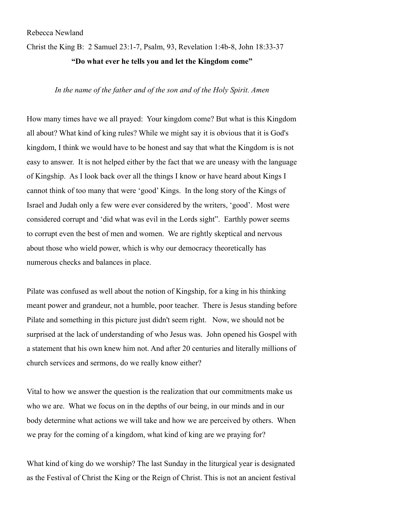## Rebecca Newland

Christ the King B: 2 Samuel 23:1-7, Psalm, 93, Revelation 1:4b-8, John 18:33-37

## **"Do what ever he tells you and let the Kingdom come"**

## *In the name of the father and of the son and of the Holy Spirit. Amen*

How many times have we all prayed: Your kingdom come? But what is this Kingdom all about? What kind of king rules? While we might say it is obvious that it is God's kingdom, I think we would have to be honest and say that what the Kingdom is is not easy to answer. It is not helped either by the fact that we are uneasy with the language of Kingship. As I look back over all the things I know or have heard about Kings I cannot think of too many that were 'good' Kings. In the long story of the Kings of Israel and Judah only a few were ever considered by the writers, 'good'. Most were considered corrupt and 'did what was evil in the Lords sight". Earthly power seems to corrupt even the best of men and women. We are rightly skeptical and nervous about those who wield power, which is why our democracy theoretically has numerous checks and balances in place.

Pilate was confused as well about the notion of Kingship, for a king in his thinking meant power and grandeur, not a humble, poor teacher. There is Jesus standing before Pilate and something in this picture just didn't seem right. Now, we should not be surprised at the lack of understanding of who Jesus was. John opened his Gospel with a statement that his own knew him not. And after 20 centuries and literally millions of church services and sermons, do we really know either?

Vital to how we answer the question is the realization that our commitments make us who we are. What we focus on in the depths of our being, in our minds and in our body determine what actions we will take and how we are perceived by others. When we pray for the coming of a kingdom, what kind of king are we praying for?

What kind of king do we worship? The last Sunday in the liturgical year is designated as the Festival of Christ the King or the Reign of Christ. This is not an ancient festival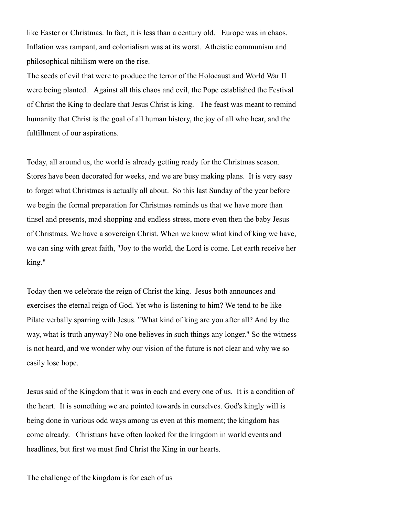like Easter or Christmas. In fact, it is less than a century old. Europe was in chaos. Inflation was rampant, and colonialism was at its worst. Atheistic communism and philosophical nihilism were on the rise.

The seeds of evil that were to produce the terror of the Holocaust and World War II were being planted. Against all this chaos and evil, the Pope established the Festival of Christ the King to declare that Jesus Christ is king. The feast was meant to remind humanity that Christ is the goal of all human history, the joy of all who hear, and the fulfillment of our aspirations.

Today, all around us, the world is already getting ready for the Christmas season. Stores have been decorated for weeks, and we are busy making plans. It is very easy to forget what Christmas is actually all about. So this last Sunday of the year before we begin the formal preparation for Christmas reminds us that we have more than tinsel and presents, mad shopping and endless stress, more even then the baby Jesus of Christmas. We have a sovereign Christ. When we know what kind of king we have, we can sing with great faith, "Joy to the world, the Lord is come. Let earth receive her king."

Today then we celebrate the reign of Christ the king. Jesus both announces and exercises the eternal reign of God. Yet who is listening to him? We tend to be like Pilate verbally sparring with Jesus. "What kind of king are you after all? And by the way, what is truth anyway? No one believes in such things any longer." So the witness is not heard, and we wonder why our vision of the future is not clear and why we so easily lose hope.

Jesus said of the Kingdom that it was in each and every one of us. It is a condition of the heart. It is something we are pointed towards in ourselves. God's kingly will is being done in various odd ways among us even at this moment; the kingdom has come already. Christians have often looked for the kingdom in world events and headlines, but first we must find Christ the King in our hearts.

The challenge of the kingdom is for each of us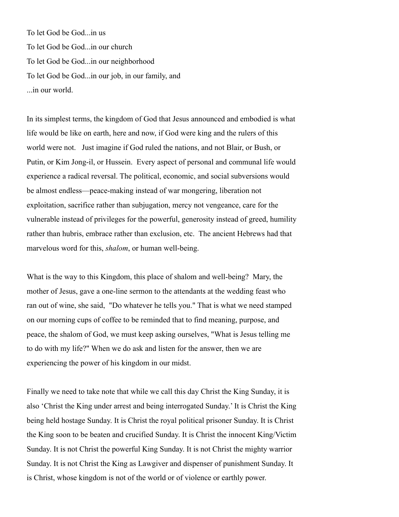To let God be God...in us To let God be God...in our church To let God be God...in our neighborhood To let God be God...in our job, in our family, and ...in our world.

In its simplest terms, the kingdom of God that Jesus announced and embodied is what life would be like on earth, here and now, if God were king and the rulers of this world were not. Just imagine if God ruled the nations, and not Blair, or Bush, or Putin, or Kim Jong-il, or Hussein. Every aspect of personal and communal life would experience a radical reversal. The political, economic, and social subversions would be almost endless—peace-making instead of war mongering, liberation not exploitation, sacrifice rather than subjugation, mercy not vengeance, care for the vulnerable instead of privileges for the powerful, generosity instead of greed, humility rather than hubris, embrace rather than exclusion, etc. The ancient Hebrews had that marvelous word for this, *shalom*, or human well-being.

What is the way to this Kingdom, this place of shalom and well-being? Mary, the mother of Jesus, gave a one-line sermon to the attendants at the wedding feast who ran out of wine, she said, "Do whatever he tells you." That is what we need stamped on our morning cups of coffee to be reminded that to find meaning, purpose, and peace, the shalom of God, we must keep asking ourselves, "What is Jesus telling me to do with my life?" When we do ask and listen for the answer, then we are experiencing the power of his kingdom in our midst.

Finally we need to take note that while we call this day Christ the King Sunday, it is also 'Christ the King under arrest and being interrogated Sunday.' It is Christ the King being held hostage Sunday. It is Christ the royal political prisoner Sunday. It is Christ the King soon to be beaten and crucified Sunday. It is Christ the innocent King/Victim Sunday. It is not Christ the powerful King Sunday. It is not Christ the mighty warrior Sunday. It is not Christ the King as Lawgiver and dispenser of punishment Sunday. It is Christ, whose kingdom is not of the world or of violence or earthly power.